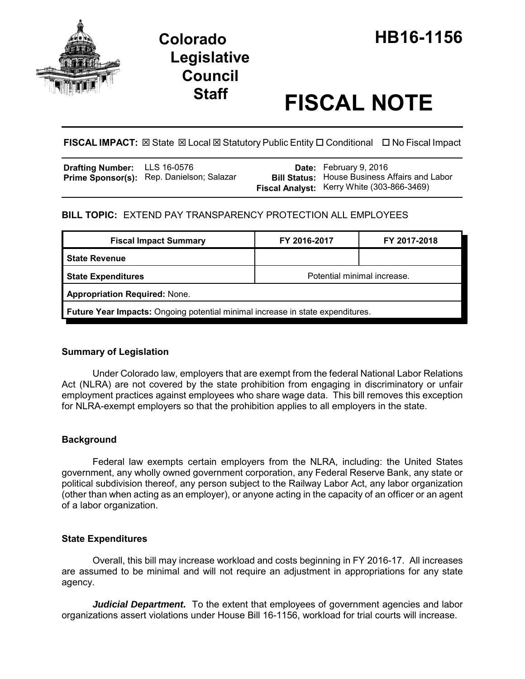

# **Legislative Council**

## **Staff FISCAL NOTE**

FISCAL IMPACT:  $\boxtimes$  State  $\boxtimes$  Local  $\boxtimes$  Statutory Public Entity  $\Box$  Conditional  $\Box$  No Fiscal Impact

| <b>Drafting Number:</b> LLS 16-0576 |                                           | <b>Date:</b> February 9, 2016                        |
|-------------------------------------|-------------------------------------------|------------------------------------------------------|
|                                     | Prime Sponsor(s): Rep. Danielson; Salazar | <b>Bill Status:</b> House Business Affairs and Labor |
|                                     |                                           | Fiscal Analyst: Kerry White (303-866-3469)           |

### **BILL TOPIC:** EXTEND PAY TRANSPARENCY PROTECTION ALL EMPLOYEES

| <b>Fiscal Impact Summary</b>                                                          | FY 2016-2017                | FY 2017-2018 |  |  |  |
|---------------------------------------------------------------------------------------|-----------------------------|--------------|--|--|--|
| <b>State Revenue</b>                                                                  |                             |              |  |  |  |
| State Expenditures                                                                    | Potential minimal increase. |              |  |  |  |
| <b>Appropriation Required: None.</b>                                                  |                             |              |  |  |  |
| <b>Future Year Impacts:</b> Ongoing potential minimal increase in state expenditures. |                             |              |  |  |  |

#### **Summary of Legislation**

Under Colorado law, employers that are exempt from the federal National Labor Relations Act (NLRA) are not covered by the state prohibition from engaging in discriminatory or unfair employment practices against employees who share wage data. This bill removes this exception for NLRA-exempt employers so that the prohibition applies to all employers in the state.

#### **Background**

Federal law exempts certain employers from the NLRA, including: the United States government, any wholly owned government corporation, any Federal Reserve Bank, any state or political subdivision thereof, any person subject to the Railway Labor Act, any labor organization (other than when acting as an employer), or anyone acting in the capacity of an officer or an agent of a labor organization.

#### **State Expenditures**

Overall, this bill may increase workload and costs beginning in FY 2016-17. All increases are assumed to be minimal and will not require an adjustment in appropriations for any state agency.

*Judicial Department.* To the extent that employees of government agencies and labor organizations assert violations under House Bill 16-1156, workload for trial courts will increase.